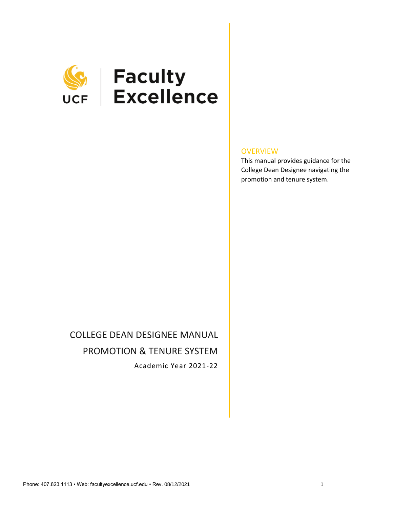

# **SE Faculty**<br>UCF Excellence

# **OVERVIEW**

This manual provides guidance for the College Dean Designee navigating the promotion and tenure system.

# COLLEGE DEAN DESIGNEE MANUAL PROMOTION & TENURE SYSTEM Academic Year 2021-22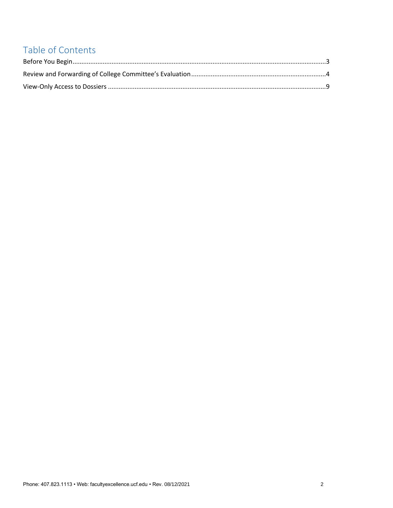# Table of Contents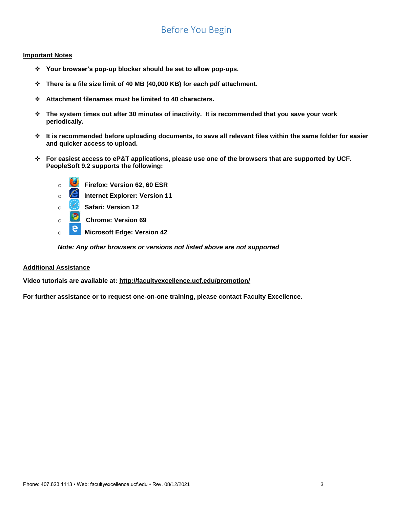# Before You Begin

#### <span id="page-2-0"></span>**Important Notes**

- ❖ **Your browser's pop-up blocker should be set to allow pop-ups.**
- ❖ **There is a file size limit of 40 MB (40,000 KB) for each pdf attachment.**
- ❖ **Attachment filenames must be limited to 40 characters.**
- ❖ **The system times out after 30 minutes of inactivity. It is recommended that you save your work periodically.**
- ❖ **It is recommended before uploading documents, to save all relevant files within the same folder for easier and quicker access to upload.**
- ❖ **For easiest access to eP&T applications, please use one of the browsers that are supported by UCF. PeopleSoft 9.2 supports the following:**
	- o **Firefox: Version 62, 60 ESR**
	- o **Internet Explorer: Version 11**
	- o **Safari: Version 12**
	- o **Chrome: Version 69**
	- o **Microsoft Edge: Version 42**

*Note: Any other browsers or versions not listed above are not supported*

#### **Additional Assistance**

**Video tutorials are available at:<http://facultyexcellence.ucf.edu/promotion/>**

**For further assistance or to request one-on-one training, please contact Faculty Excellence.**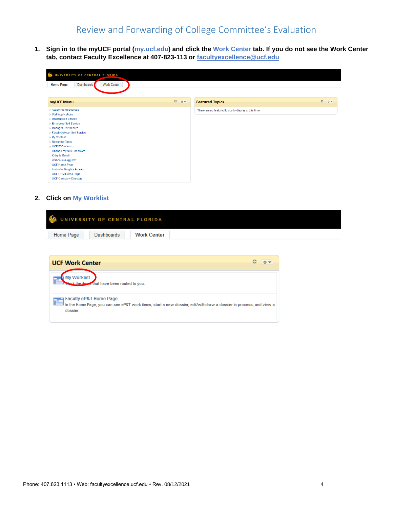<span id="page-3-0"></span>**1. Sign in to the myUCF portal (my.ucf.edu) and click the Work Center tab. If you do not see the Work Center tab, contact Faculty Excellence at 407-823-113 or [facultyexcellence@ucf.edu](mailto:facultyexcellence@ucf.edu)**

| UNIVERSITY OF CENTRAL FLORIDA                                                                                                                                                                                                                                                |           |                                                       |           |
|------------------------------------------------------------------------------------------------------------------------------------------------------------------------------------------------------------------------------------------------------------------------------|-----------|-------------------------------------------------------|-----------|
| <b>Work Center</b><br><b>Home Page</b><br><b>Dashboards</b>                                                                                                                                                                                                                  |           |                                                       |           |
|                                                                                                                                                                                                                                                                              |           |                                                       |           |
| myUCF Menu                                                                                                                                                                                                                                                                   | $C = 0 -$ | <b>Featured Topics</b>                                | $C = 0 -$ |
| Academic Resources<br>▶ Staff Applications<br>▶ Student Self Service<br>Employee Self Service<br>Manager Self Service<br>Faculty/Advisor Self Service<br>$\triangleright$ My Content<br>Reporting Tools<br>▶ UCF IT Custom<br>Change my NID Password<br><b>Knights Email</b> |           | There are no featured topics to display at this time. |           |
| Webcourses@UCF<br><b>UCF Home Page</b><br><b>Instructor Knights Access</b><br>UCF COM Home Page<br><b>UCF Company Directory</b>                                                                                                                                              |           |                                                       |           |

#### **2. Click on My Worklist**

| UNIVERSITY OF CENTRAL FLORIDA |                    |  |  |
|-------------------------------|--------------------|--|--|
| Dashboards<br>Home Page       | <b>Work Center</b> |  |  |

| <b>UCF Work Center</b>                                                                                                                                   |  |
|----------------------------------------------------------------------------------------------------------------------------------------------------------|--|
| <b>My Worklist</b><br><u>ta</u><br>Work the items that have been routed to you.                                                                          |  |
| Faculty eP&T Home Page<br>In the Home Page, you can see eP&T work items, start a new dossier, edit/withdraw a dossier in process, and view a<br>dossier. |  |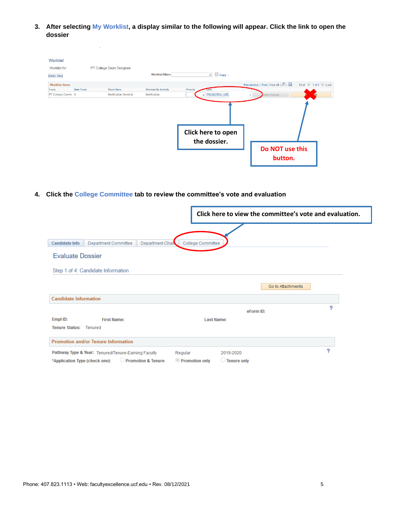**3. After selecting My Worklist, a display similar to the following will appear. Click the link to open the dossier**

| Worklist<br><b>Worklist for</b> | ×                | PT College Dean Designee     |                           |                                                          |                                                           |                     |
|---------------------------------|------------------|------------------------------|---------------------------|----------------------------------------------------------|-----------------------------------------------------------|---------------------|
| Detail View                     |                  |                              | <b>Worklist Filters</b>   | $\blacksquare$ Feed $\blacktriangledown$<br>$\checkmark$ |                                                           |                     |
| <b>Worklist Items</b>           |                  |                              |                           |                                                          | Personalize   Find   View All   $\boxed{2}$   $\boxed{4}$ | First 1 of 1 D Last |
| From                            | <b>Date From</b> | Work Item                    | <b>Worked By Activity</b> | Priority<br>Link                                         |                                                           |                     |
| PT College Comm 0               |                  | <b>Notification Worklist</b> | Notification              | v PROMOTEN: NTE:                                         | Mark Worked                                               |                     |
|                                 |                  |                              |                           | Click here to open<br>the dossier.                       | Do NOT use this<br>button.                                |                     |

**4. Click the College Committee tab to review the committee's vote and evaluation**

|                                                                                                                        | Click here to view the committee's vote and evaluation.    |  |
|------------------------------------------------------------------------------------------------------------------------|------------------------------------------------------------|--|
|                                                                                                                        |                                                            |  |
| Department Chair<br>Department Committee<br><b>Candidate Info</b>                                                      | College Committee                                          |  |
| <b>Evaluate Dossier</b>                                                                                                |                                                            |  |
| Step 1 of 4: Candidate Information                                                                                     |                                                            |  |
|                                                                                                                        | Go to Attachments                                          |  |
| <b>Candidate Information</b>                                                                                           |                                                            |  |
|                                                                                                                        | ?<br>eForm ID:                                             |  |
| Empl ID:<br><b>First Name:</b><br><b>Tenure Status:</b><br>Tenured                                                     | <b>Last Name:</b>                                          |  |
|                                                                                                                        |                                                            |  |
| <b>Promotion and/or Tenure Information</b>                                                                             |                                                            |  |
| Pathway Type & Year: Tenured/Tenure-Earning Faculty<br>Regular<br>Promotion & Tenure<br>*Application Type (check one): | ?<br>2019-2020<br>Promotion only<br>$\bigcirc$ Tenure only |  |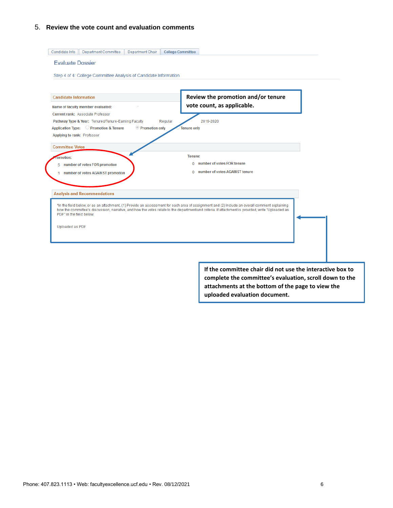## 5. **Review the vote count and evaluation comments**

| <b>Evaluate Dossier</b><br>Step 4 of 4: College Committee Analysis of Candidate Information                                                                                                                                                                                                                                     |                                                                                              |
|---------------------------------------------------------------------------------------------------------------------------------------------------------------------------------------------------------------------------------------------------------------------------------------------------------------------------------|----------------------------------------------------------------------------------------------|
| <b>Candidate Information</b><br>Name of faculty member evaluated:<br><b>Current rank: Associate Professor</b>                                                                                                                                                                                                                   | Review the promotion and/or tenure<br>vote count, as applicable.                             |
| Pathway Type & Year: Tenured/Tenure-Earning Faculty<br>Regular<br>Application Type: C Promotion & Tenure<br>Promotion only<br>Applying to rank: Professor<br><b>Committee Votes</b>                                                                                                                                             | 2019-2020<br><b>Tenure only</b>                                                              |
| <b>omotion:</b><br>5 number of votes FOR promotion<br>number of votes AGAINST promotion<br>1.                                                                                                                                                                                                                                   | <b>Tenure:</b><br>0 number of votes FOR tenure<br>number of votes AGAINST tenure<br>$\Omega$ |
| <b>Analysis and Recommendations</b>                                                                                                                                                                                                                                                                                             |                                                                                              |
| *In the field below, or as an attachment, (1) Provide an assessment for each area of assignment and (2) Include an overall comment explaining<br>how the committee's discussion, narrative, and how the votes relate to the department/unit criteria. If attachment is provided, write "Uploaded as<br>PDF" in the field below. |                                                                                              |
| Uploaded as PDF                                                                                                                                                                                                                                                                                                                 |                                                                                              |

**uploaded evaluation document.**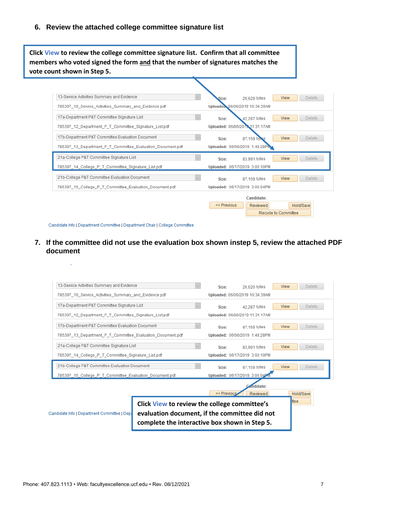# **6. Review the attached college committee signature list**

**Click View to review the college committee signature list. Confirm that all committee members who voted signed the form and that the number of signatures matches the vote count shown in Step 5.**

| 13-Service Activities Summary and Evidence                 | Size:         | 26,620 bytes                    | <b>View</b>          | <b>Delete</b> |
|------------------------------------------------------------|---------------|---------------------------------|----------------------|---------------|
| 785397 10 Service Activities Summary and Evidence.pdf      |               | Uploaded 06/06/2019 10:34:39AM  |                      |               |
| 17a-Department P&T Committee Signature List                | Size:         | 42,287 bytes                    | <b>View</b>          | <b>Delete</b> |
| 785397 12 Department P T Committee Signature List.pdf      |               | Uploaded: 06/06/2013 11:31:17AM |                      |               |
| 17b-Department P&T Committee Evaluation Document           | Size:         | 87,159 by s                     | <b>View</b>          | Delete        |
| 785397 13 Department P T Committee Evaluation Document.pdf |               | Uploaded: 06/06/2019 1:48:28PM  |                      |               |
| 21a-College P&T Committee Signature List                   | Size:         | 83.991 bytes                    | <b>View</b>          | <b>Delete</b> |
| 785397_14_College_P_T_Committee_Signature_List.pdf         |               | Uploaded: 06/17/2019 3:00:10PM  |                      |               |
| 21b-College P&T Committee Evaluation Document              | Size:         | 87,159 bytes                    | <b>View</b>          | <b>Delete</b> |
| 785397 15 College P T Committee Evaluation Document.pdf    |               | Uploaded: 06/17/2019 3:06:04PM  |                      |               |
|                                                            |               | Candidate:                      |                      |               |
|                                                            | $<<$ Previous | Reviewed                        | Hold/Save            |               |
|                                                            |               |                                 | Recycle to Committee |               |

Candidate Info | Department Committee | Department Chair | College Committee

**7. If the committee did not use the evaluation box shown instep 5, review the attached PDF document**

| 13-Service Activities Summary and Evidence                 |                                                                                                                                                | Size:       | 26,620 bytes                    | <b>Delete</b><br><b>View</b> |
|------------------------------------------------------------|------------------------------------------------------------------------------------------------------------------------------------------------|-------------|---------------------------------|------------------------------|
| 785397 10 Service Activities Summary and Evidence.pdf      |                                                                                                                                                |             | Uploaded: 06/06/2019 10:34:39AM |                              |
| 17a-Department P&T Committee Signature List                |                                                                                                                                                | Size:       | 42,287 bytes                    | <b>Delete</b><br><b>View</b> |
| 785397 12 Department P T Committee Signature List.pdf      |                                                                                                                                                |             | Uploaded: 06/06/2019 11:31:17AM |                              |
| 17b-Department P&T Committee Evaluation Document           |                                                                                                                                                | Size:       | 87.159 bytes                    | <b>Delete</b><br><b>View</b> |
| 785397 13 Department P T Committee Evaluation Document.pdf |                                                                                                                                                |             | Uploaded: 06/06/2019 1:48:28PM  |                              |
| 21a-College P&T Committee Signature List                   |                                                                                                                                                | Size:       | 83.991 bytes                    | <b>Delete</b><br><b>View</b> |
| 785397 14 College P T Committee Signature List.pdf         |                                                                                                                                                |             | Uploaded: 06/17/2019 3:00:10PM  |                              |
| 21b-College P&T Committee Evaluation Document              |                                                                                                                                                | Size:       | 87,159 bytes                    | <b>Delete</b><br><b>View</b> |
| 785397_15_College_P_T_Committee_Evaluation_Document.pdf    |                                                                                                                                                |             | Uploaded: 06/17/2019 3:06:04PM  |                              |
|                                                            |                                                                                                                                                | << Previous | andidate:<br>Reviewed           | Hold/Save                    |
| Candidate Info   Department Committee   Dep.               | Click View to review the college committee's<br>evaluation document, if the committee did not<br>complete the interactive box shown in Step 5. |             |                                 | <b>ttee</b>                  |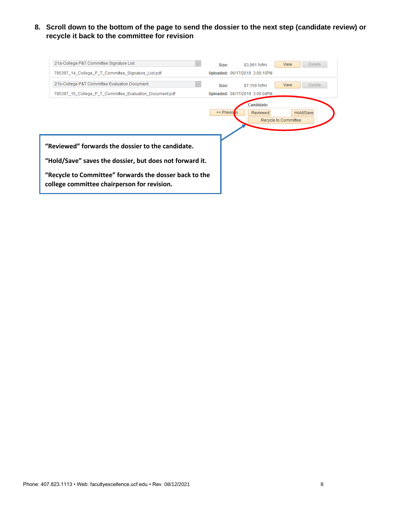**8. Scroll down to the bottom of the page to send the dossier to the next step (candidate review) or recycle it back to the committee for revision**

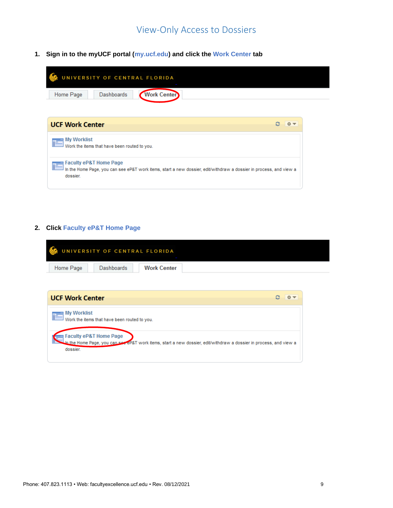<span id="page-8-0"></span>**1. Sign in to the myUCF portal (my.ucf.edu) and click the Work Center tab**

| UNIVERSITY OF CENTRAL FLORIDA |                    |  |
|-------------------------------|--------------------|--|
| Dashboards<br>Home Page       | <b>Work Center</b> |  |
|                               |                    |  |

| <b>UCF Work Center</b>                                                                                                                                   | $\overline{\phantom{a}}$<br>۰ |
|----------------------------------------------------------------------------------------------------------------------------------------------------------|-------------------------------|
| <b>My Worklist</b><br>Work the items that have been routed to you.                                                                                       |                               |
| Faculty eP&T Home Page<br>In the Home Page, you can see eP&T work items, start a new dossier, edit/withdraw a dossier in process, and view a<br>dossier. |                               |

# **2. Click Faculty eP&T Home Page**

| <b>Work Center</b><br>Dashboards<br>Home Page |  | UNIVERSITY OF CENTRAL FLORIDA |  |
|-----------------------------------------------|--|-------------------------------|--|
|                                               |  |                               |  |

| <b>UCF Work Center</b>                                                                                                                                      |  |  |
|-------------------------------------------------------------------------------------------------------------------------------------------------------------|--|--|
| <b>My Worklist</b><br>Work the items that have been routed to you.                                                                                          |  |  |
| En Faculty eP&T Home Page<br>La the Home Page, you can see eP&T work items, start a new dossier, edit/withdraw a dossier in process, and view a<br>dossier. |  |  |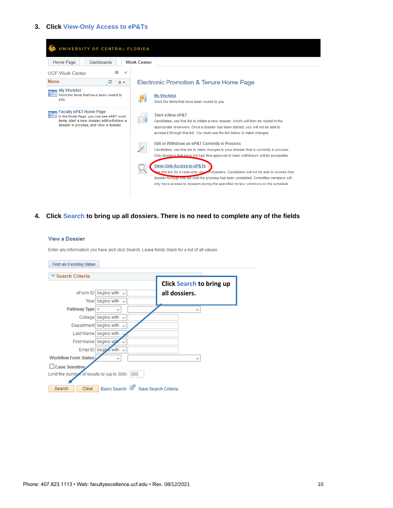## **3. Click View-Only Access to eP&Ts**

| UNIVERSITY OF CENTRAL FLORIDA                                                                                                                                          |                                                                                                                                                                                                                                                                                                                  |
|------------------------------------------------------------------------------------------------------------------------------------------------------------------------|------------------------------------------------------------------------------------------------------------------------------------------------------------------------------------------------------------------------------------------------------------------------------------------------------------------|
| Home Page<br>Dashboards                                                                                                                                                | <b>Work Center</b>                                                                                                                                                                                                                                                                                               |
| ≪<br><b>UCF Work Center</b>                                                                                                                                            |                                                                                                                                                                                                                                                                                                                  |
| Menu<br>c<br>春天                                                                                                                                                        | Electronic Promotion & Tenure Home Page                                                                                                                                                                                                                                                                          |
| <b>My Worklist</b><br>Work the items that have been routed to<br>you.                                                                                                  | <b>My Worklist</b><br>Work the items that have been routed to you.                                                                                                                                                                                                                                               |
| <b>Faculty eP&amp;T Home Page</b><br>In the Home Page, you can see eP&T work<br>items, start a new dossier, edit/withdraw a<br>dossier in process, and view a dossier. | <b>Start a New eP&amp;T</b><br>Candidates, use this link to initiate a new dossier, which will then be routed to the<br>appropriate reviewers. Once a dossier has been started, you will not be able to<br>access it through this link. You must use the link below to make changes.                             |
|                                                                                                                                                                        | <b>Edit or Withdraw an eP&amp;T Currently in Process</b><br>Candidates, use this link to make changes to your dossier that is currently in process.<br>Only dossiers that have not had final approval or been withdrawn will be accessible.                                                                      |
|                                                                                                                                                                        | <b>View-Only Access to eP&amp;Ts</b><br>se this link for a read-only viewed dossiers. Candidates will not be able to access their<br>dossier through this link until the process has been completed. Committee members will<br>only have access to dossiers during the specified review windows on the schedule. |

**4. Click Search to bring up all dossiers. There is no need to complete any of the fields**

#### **View a Dossier**

Enter any information you have and click Search. Leave fields blank for a list of all values.

| <b>▼ Search Criteria</b>                        | <b>Click Search to bring up</b> |
|-------------------------------------------------|---------------------------------|
| begins with<br>eForm ID                         | all dossiers.                   |
| begins with $\sim$<br>Year                      |                                 |
| Pathway Type $=$<br>$\checkmark$                | $\checkmark$                    |
| begins with<br>College<br>$\sim$                |                                 |
| Department begins with                          |                                 |
| begins with<br>Last Name                        |                                 |
| begins with<br>First Name                       |                                 |
| begins with<br>Empl ID                          |                                 |
| <b>Workflow Form Status</b><br>$\checkmark$     | $\checkmark$                    |
| □ Case Sensitive                                |                                 |
| Limit the number of results to (up to 300): 300 |                                 |
| <b>Basic Search</b><br>Clear<br>Search          | Save Search Criteria            |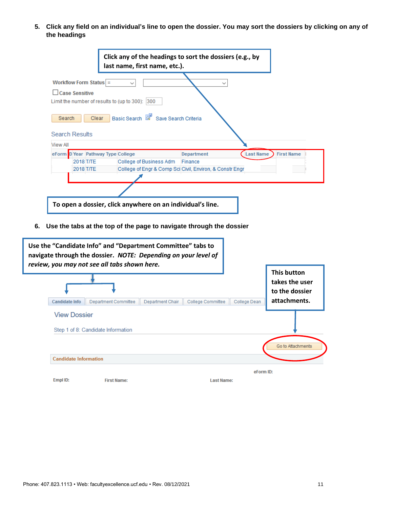**5. Click any field on an individual's line to open the dossier. You may sort the dossiers by clicking on any of the headings**

|                                                                                                                                                                       | Click any of the headings to sort the dossiers (e.g., by<br>last name, first name, etc.). |            |                                       |  |  |  |
|-----------------------------------------------------------------------------------------------------------------------------------------------------------------------|-------------------------------------------------------------------------------------------|------------|---------------------------------------|--|--|--|
| Workflow Form Status $=$<br><b>Case Sensitive</b><br>Limit the number of results to (up to 300): 300<br>Basic Search & Save Search Criteria<br><b>Clear</b><br>Search |                                                                                           |            |                                       |  |  |  |
| <b>Search Results</b>                                                                                                                                                 |                                                                                           |            |                                       |  |  |  |
| View All                                                                                                                                                              |                                                                                           |            |                                       |  |  |  |
| eForm DYear Pathway Type College                                                                                                                                      |                                                                                           | Department | <b>Last Name</b><br><b>First Name</b> |  |  |  |
| 2018 T/TE                                                                                                                                                             | College of Business Adm                                                                   | Finance    |                                       |  |  |  |
| 2018 T/TE                                                                                                                                                             | College of Engr & Comp Sci Civil, Environ, & Constr Engr                                  |            |                                       |  |  |  |
|                                                                                                                                                                       | To open a dossier, click anywhere on an individual's line.                                |            |                                       |  |  |  |

**6. Use the tabs at the top of the page to navigate through the dossier**

|                       | Use the "Candidate Info" and "Department Committee" tabs to<br>navigate through the dossier. NOTE: Depending on your level of<br>review, you may not see all tabs shown here. |                  |                   |              |                                                                 |
|-----------------------|-------------------------------------------------------------------------------------------------------------------------------------------------------------------------------|------------------|-------------------|--------------|-----------------------------------------------------------------|
| <b>Candidate Info</b> | Department Committee                                                                                                                                                          | Department Chair | College Committee | College Dean | This button<br>takes the user<br>to the dossier<br>attachments. |
| <b>View Dossier</b>   | Step 1 of 8: Candidate Information                                                                                                                                            |                  |                   |              |                                                                 |
|                       | <b>Candidate Information</b>                                                                                                                                                  |                  |                   |              | Go to Attachments                                               |
| Empl ID:              | <b>First Name:</b>                                                                                                                                                            |                  | <b>Last Name:</b> | eForm ID:    |                                                                 |